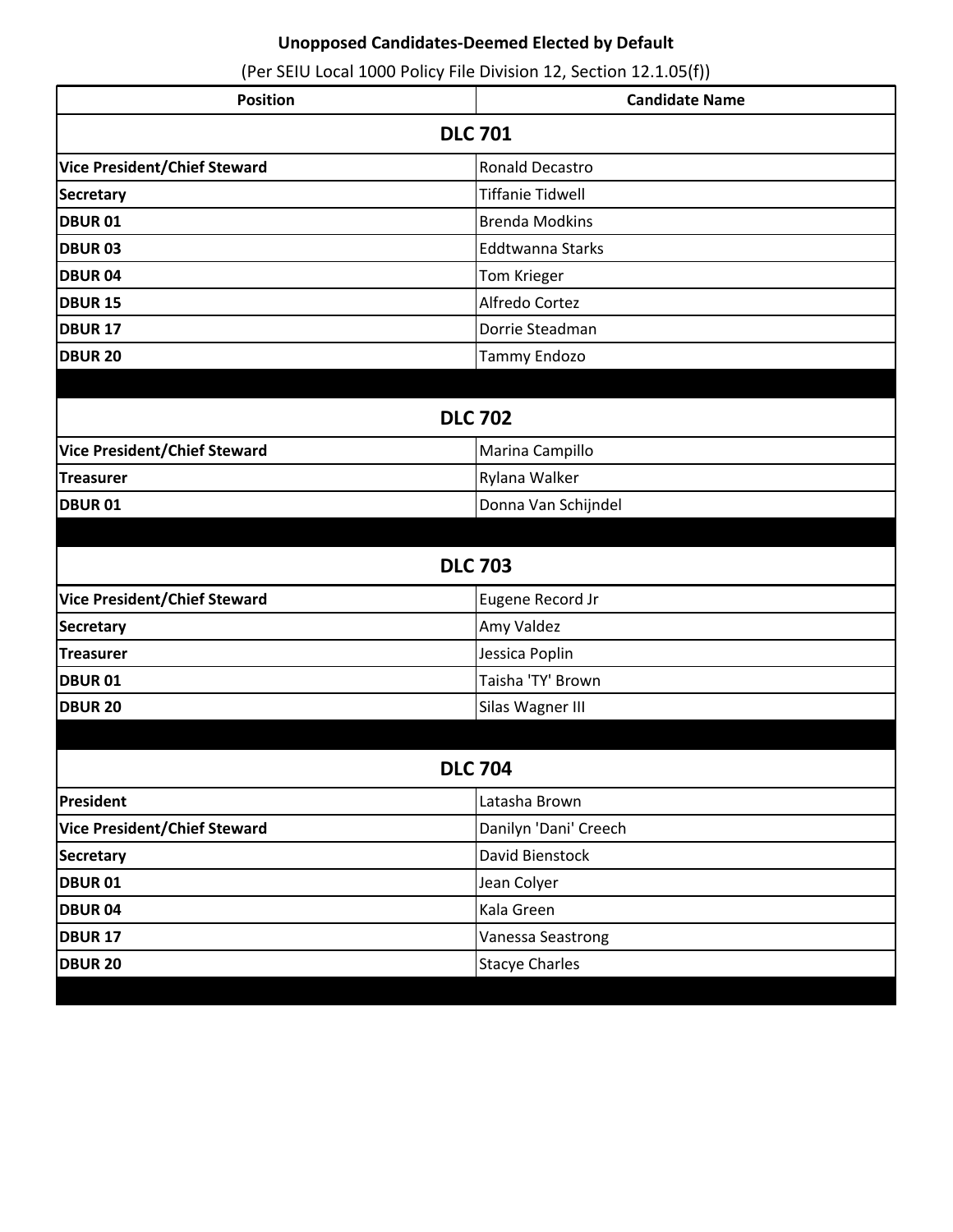| <b>Position</b>                     | <b>Candidate Name</b>   |
|-------------------------------------|-------------------------|
| <b>DLC 701</b>                      |                         |
| <b>Vice President/Chief Steward</b> | <b>Ronald Decastro</b>  |
| <b>Secretary</b>                    | <b>Tiffanie Tidwell</b> |
| <b>DBUR 01</b>                      | <b>Brenda Modkins</b>   |
| <b>DBUR 03</b>                      | <b>Eddtwanna Starks</b> |
| <b>DBUR 04</b>                      | Tom Krieger             |
| <b>DBUR 15</b>                      | Alfredo Cortez          |
| <b>DBUR 17</b>                      | Dorrie Steadman         |
| <b>DBUR 20</b>                      | Tammy Endozo            |
|                                     |                         |
| <b>DLC 702</b>                      |                         |
| <b>Vice President/Chief Steward</b> | Marina Campillo         |
| <b>Treasurer</b>                    | Rylana Walker           |
| <b>DBUR 01</b>                      | Donna Van Schijndel     |
|                                     |                         |
|                                     | <b>DLC 703</b>          |
| <b>Vice President/Chief Steward</b> | Eugene Record Jr        |
| <b>Secretary</b>                    | Amy Valdez              |
| <b>Treasurer</b>                    | Jessica Poplin          |
| <b>DBUR 01</b>                      | Taisha 'TY' Brown       |
| <b>DBUR 20</b>                      | Silas Wagner III        |
|                                     |                         |
| <b>DLC 704</b>                      |                         |
| President                           | Latasha Brown           |
| <b>Vice President/Chief Steward</b> | Danilyn 'Dani' Creech   |
| <b>Secretary</b>                    | David Bienstock         |
| <b>DBUR 01</b>                      | Jean Colyer             |
| <b>DBUR 04</b>                      | Kala Green              |
| <b>DBUR 17</b>                      | Vanessa Seastrong       |
| <b>DBUR 20</b>                      | <b>Stacye Charles</b>   |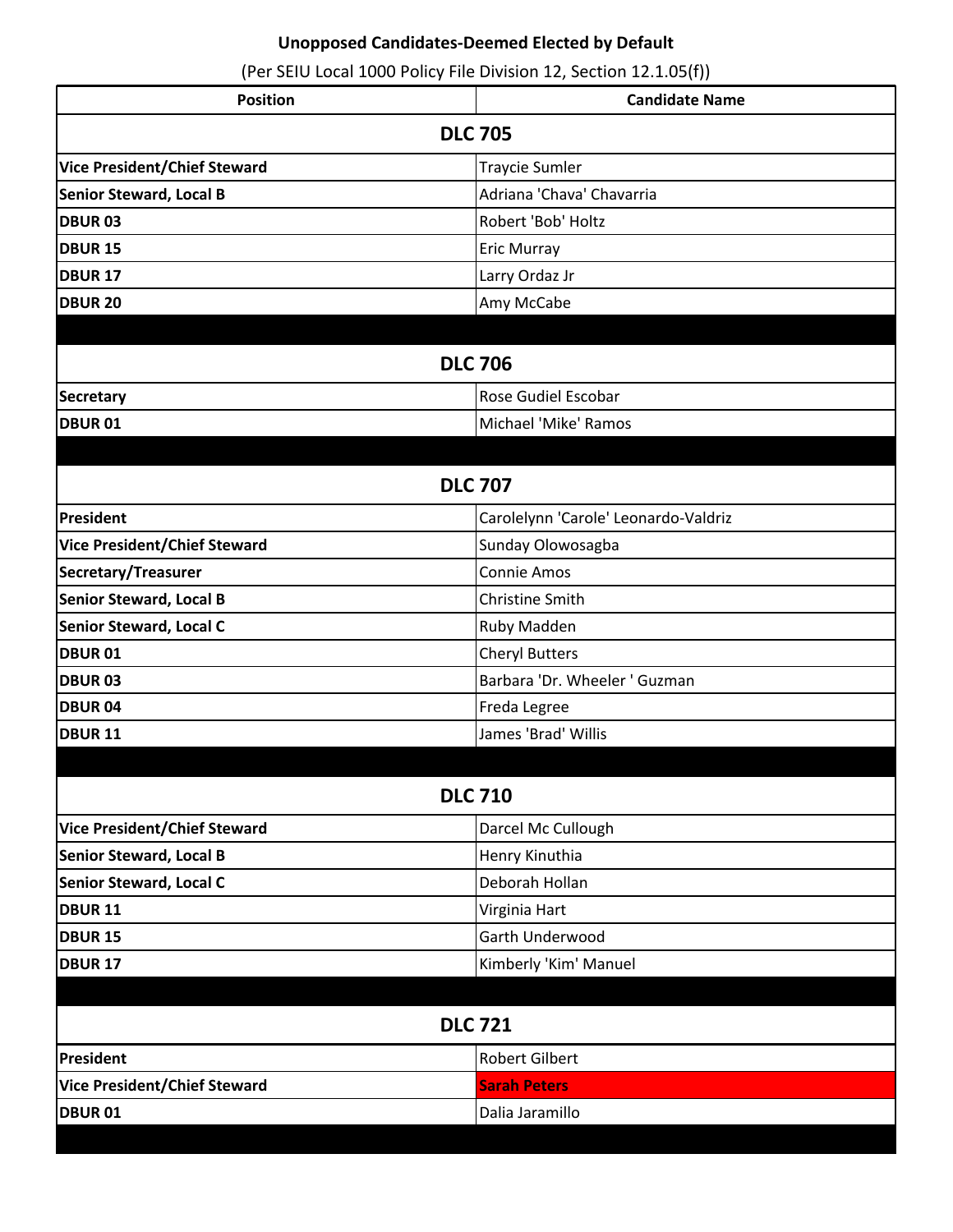| <b>Position</b>                     | <b>Candidate Name</b>                |
|-------------------------------------|--------------------------------------|
| <b>DLC 705</b>                      |                                      |
| <b>Vice President/Chief Steward</b> | <b>Traycie Sumler</b>                |
| <b>Senior Steward, Local B</b>      | Adriana 'Chava' Chavarria            |
| <b>DBUR 03</b>                      | Robert 'Bob' Holtz                   |
| <b>DBUR 15</b>                      | Eric Murray                          |
| <b>DBUR 17</b>                      | Larry Ordaz Jr                       |
| <b>DBUR 20</b>                      | Amy McCabe                           |
|                                     |                                      |
|                                     | <b>DLC 706</b>                       |
| Secretary                           | Rose Gudiel Escobar                  |
| <b>DBUR 01</b>                      | Michael 'Mike' Ramos                 |
|                                     |                                      |
|                                     | <b>DLC 707</b>                       |
| President                           | Carolelynn 'Carole' Leonardo-Valdriz |
| <b>Vice President/Chief Steward</b> | Sunday Olowosagba                    |
| Secretary/Treasurer                 | <b>Connie Amos</b>                   |
| <b>Senior Steward, Local B</b>      | <b>Christine Smith</b>               |
| <b>Senior Steward, Local C</b>      | Ruby Madden                          |
| <b>DBUR 01</b>                      | <b>Cheryl Butters</b>                |
| <b>DBUR 03</b>                      | Barbara 'Dr. Wheeler ' Guzman        |
| <b>DBUR 04</b>                      | Freda Legree                         |
| <b>DBUR 11</b>                      | James 'Brad' Willis                  |
|                                     |                                      |
|                                     | <b>DLC 710</b>                       |
| <b>Vice President/Chief Steward</b> | Darcel Mc Cullough                   |
| Senior Steward, Local B             | Henry Kinuthia                       |
| <b>Senior Steward, Local C</b>      | Deborah Hollan                       |
| <b>DBUR 11</b>                      | Virginia Hart                        |
| <b>DBUR 15</b>                      | Garth Underwood                      |
| <b>DBUR 17</b>                      | Kimberly 'Kim' Manuel                |
|                                     |                                      |
| <b>DLC 721</b>                      |                                      |
| President                           | <b>Robert Gilbert</b>                |
| <b>Vice President/Chief Steward</b> | <b>Sarah Peters</b>                  |
| <b>DBUR 01</b>                      | Dalia Jaramillo                      |
|                                     |                                      |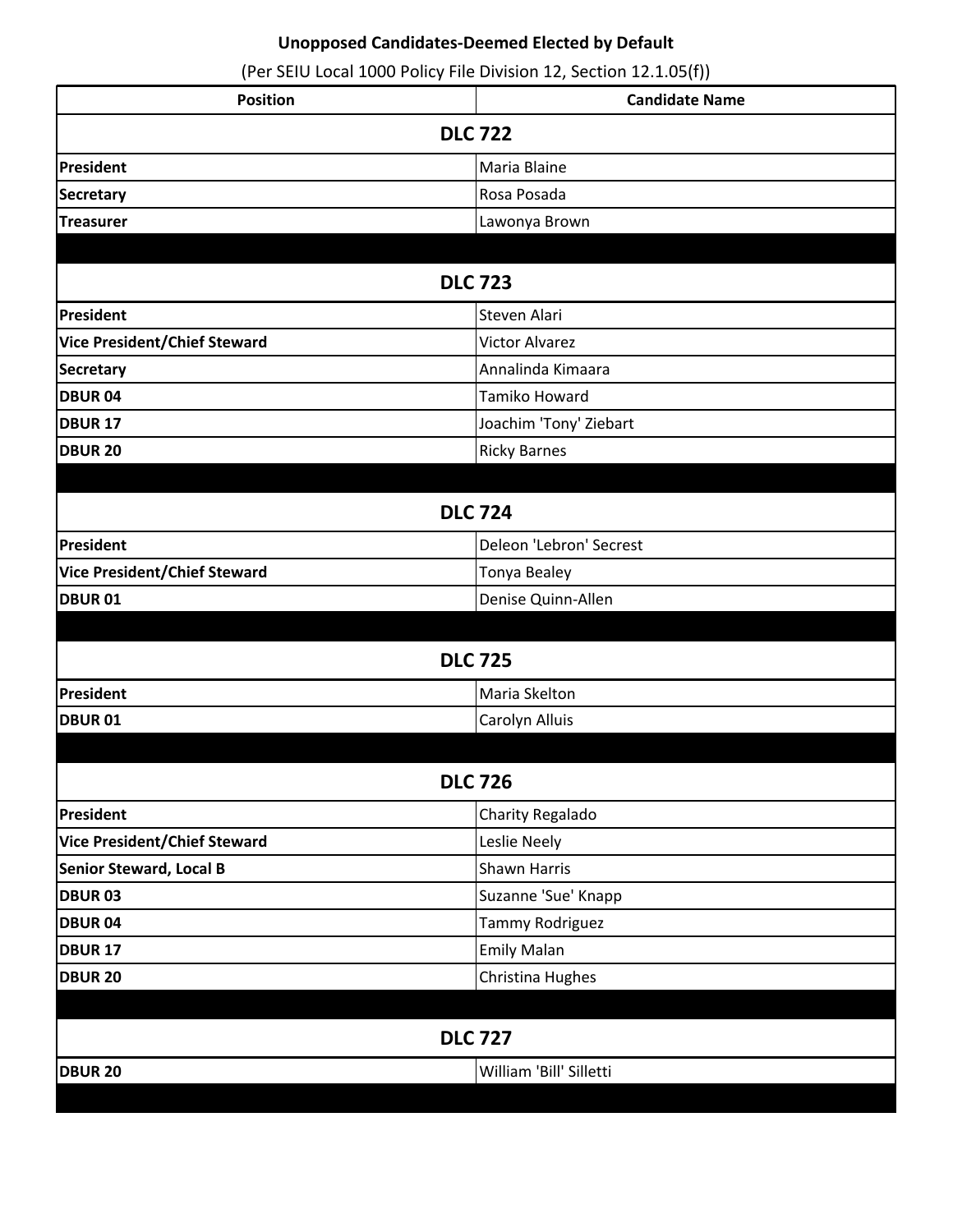| <b>Position</b>                     | <b>Candidate Name</b>   |
|-------------------------------------|-------------------------|
| <b>DLC 722</b>                      |                         |
| President                           | Maria Blaine            |
| <b>Secretary</b>                    | Rosa Posada             |
| <b>Treasurer</b>                    | Lawonya Brown           |
|                                     |                         |
| <b>DLC 723</b>                      |                         |
| President                           | Steven Alari            |
| <b>Vice President/Chief Steward</b> | <b>Victor Alvarez</b>   |
| <b>Secretary</b>                    | Annalinda Kimaara       |
| <b>DBUR04</b>                       | Tamiko Howard           |
| <b>DBUR 17</b>                      | Joachim 'Tony' Ziebart  |
| <b>DBUR 20</b>                      | <b>Ricky Barnes</b>     |
|                                     |                         |
|                                     | <b>DLC 724</b>          |
| President                           | Deleon 'Lebron' Secrest |
| <b>Vice President/Chief Steward</b> | Tonya Bealey            |
| <b>DBUR 01</b>                      | Denise Quinn-Allen      |
|                                     |                         |
|                                     | <b>DLC 725</b>          |
| President                           | Maria Skelton           |
| <b>DBUR 01</b>                      | Carolyn Alluis          |
|                                     |                         |
| <b>DLC 726</b>                      |                         |
| President                           | Charity Regalado        |
| <b>Vice President/Chief Steward</b> | Leslie Neely            |
| <b>Senior Steward, Local B</b>      | Shawn Harris            |
| <b>DBUR 03</b>                      | Suzanne 'Sue' Knapp     |
| <b>DBUR04</b>                       | Tammy Rodriguez         |
| <b>DBUR 17</b>                      | Emily Malan             |
| <b>DBUR 20</b>                      | Christina Hughes        |
|                                     |                         |
| <b>DLC 727</b>                      |                         |
| <b>DBUR 20</b>                      | William 'Bill' Silletti |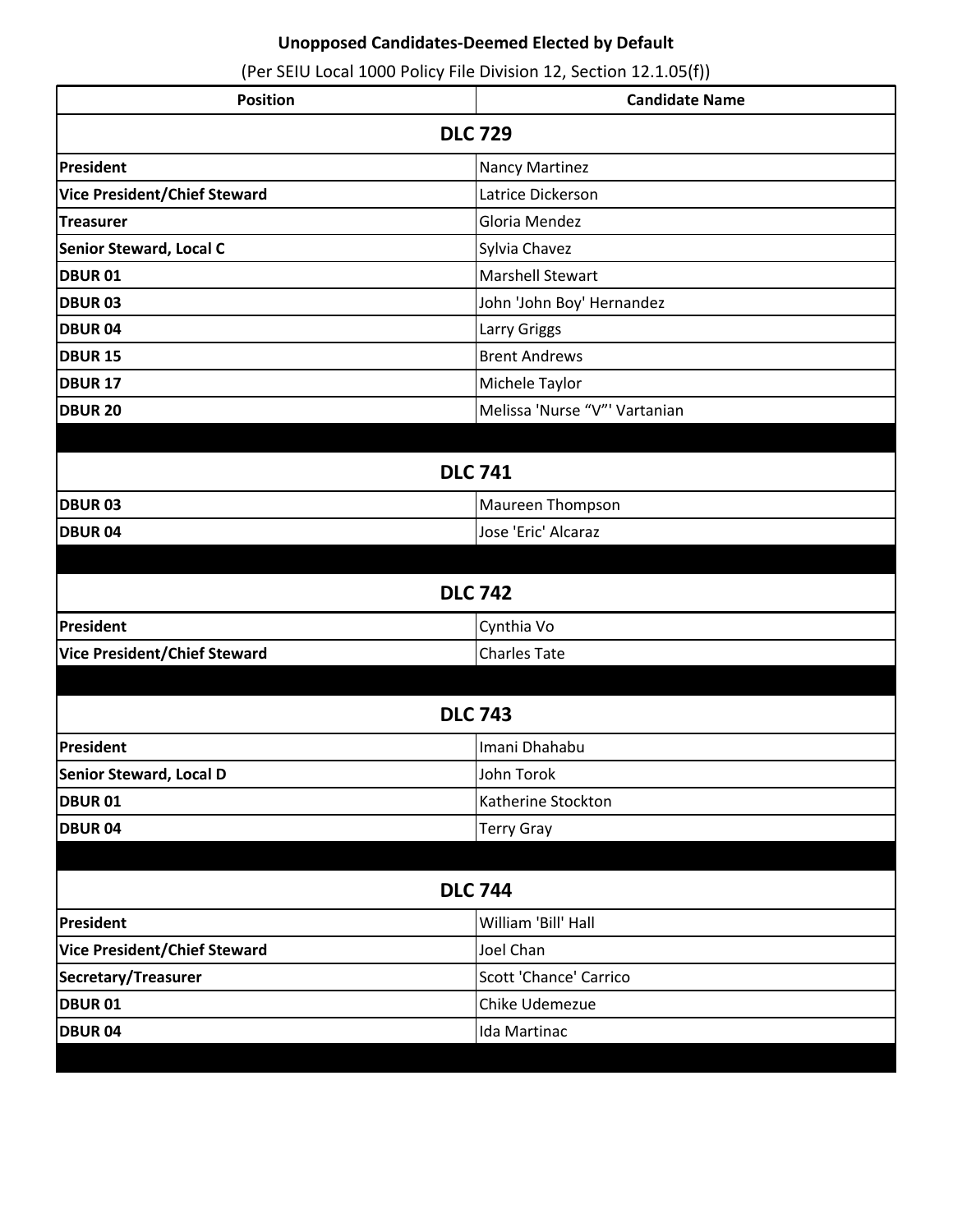| <b>Position</b>                     | <b>Candidate Name</b>         |
|-------------------------------------|-------------------------------|
| <b>DLC 729</b>                      |                               |
| President                           | Nancy Martinez                |
| Vice President/Chief Steward        | Latrice Dickerson             |
| Treasurer                           | Gloria Mendez                 |
| Senior Steward, Local C             | Sylvia Chavez                 |
| <b>DBUR 01</b>                      | <b>Marshell Stewart</b>       |
| <b>DBUR03</b>                       | John 'John Boy' Hernandez     |
| <b>DBUR 04</b>                      | Larry Griggs                  |
| <b>DBUR 15</b>                      | <b>Brent Andrews</b>          |
| <b>DBUR 17</b>                      | Michele Taylor                |
| <b>DBUR 20</b>                      | Melissa 'Nurse "V"' Vartanian |
|                                     |                               |
| <b>DLC 741</b>                      |                               |
| <b>DBUR03</b>                       | Maureen Thompson              |
| <b>DBUR04</b>                       | Jose 'Eric' Alcaraz           |
|                                     |                               |
|                                     | <b>DLC 742</b>                |
| President                           | Cynthia Vo                    |
| <b>Vice President/Chief Steward</b> | <b>Charles Tate</b>           |
|                                     |                               |
|                                     | <b>DLC 743</b>                |
| President                           | Imani Dhahabu                 |
| Senior Steward, Local D             | John Torok                    |
| <b>DBUR 01</b>                      | Katherine Stockton            |
| <b>DBUR 04</b>                      | <b>Terry Gray</b>             |
|                                     |                               |
| <b>DLC 744</b>                      |                               |
| President                           | William 'Bill' Hall           |
| <b>Vice President/Chief Steward</b> | Joel Chan                     |
| Secretary/Treasurer                 | Scott 'Chance' Carrico        |
| <b>DBUR 01</b>                      | Chike Udemezue                |
| <b>DBUR 04</b>                      | Ida Martinac                  |
|                                     |                               |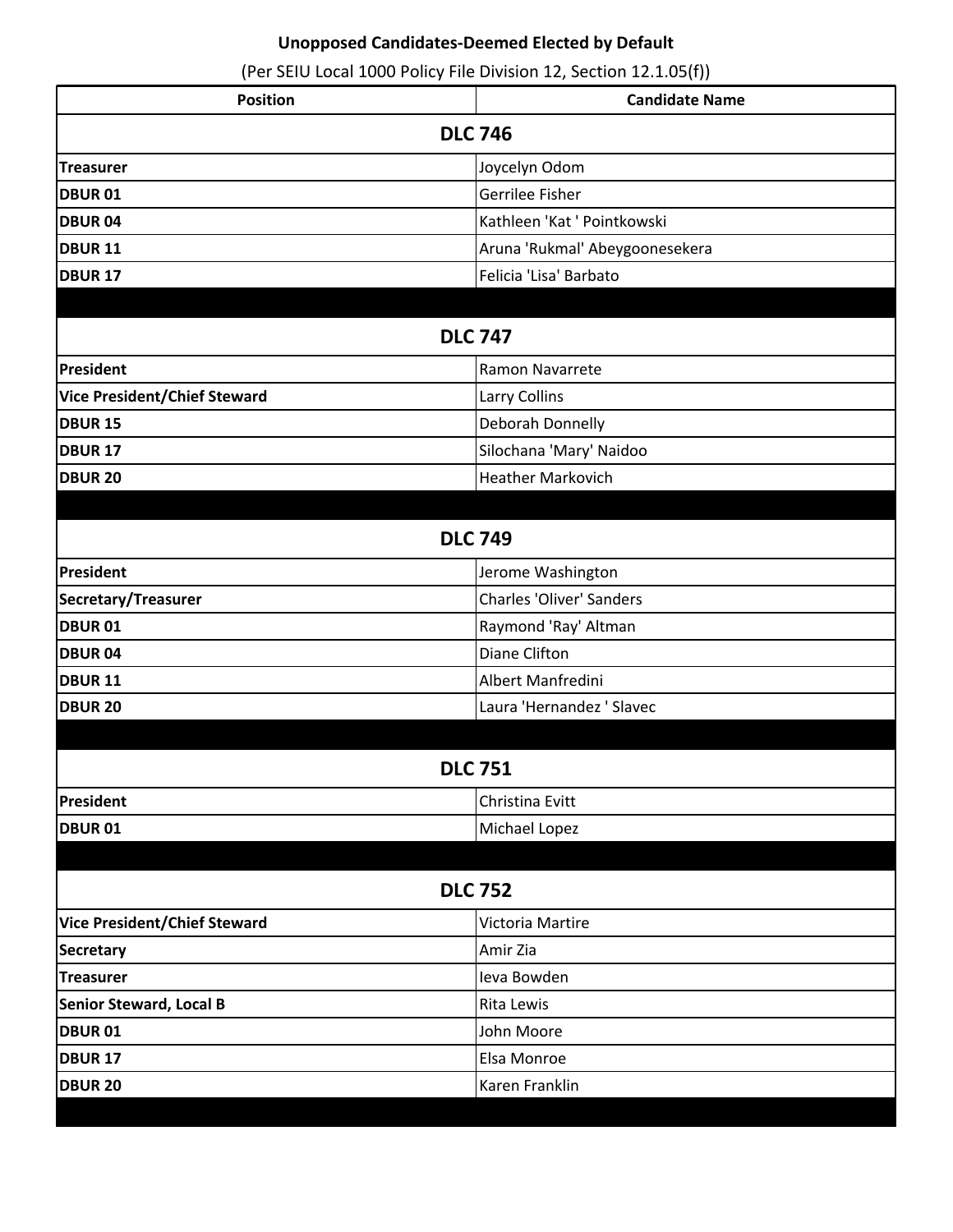| <b>Position</b>                     | <b>Candidate Name</b>           |
|-------------------------------------|---------------------------------|
|                                     | <b>DLC 746</b>                  |
| <b>Treasurer</b>                    | Joycelyn Odom                   |
| <b>DBUR 01</b>                      | Gerrilee Fisher                 |
| <b>DBUR04</b>                       | Kathleen 'Kat ' Pointkowski     |
| <b>DBUR 11</b>                      | Aruna 'Rukmal' Abeygoonesekera  |
| <b>DBUR 17</b>                      | Felicia 'Lisa' Barbato          |
|                                     |                                 |
| <b>DLC 747</b>                      |                                 |
| President                           | Ramon Navarrete                 |
| <b>Vice President/Chief Steward</b> | Larry Collins                   |
| <b>DBUR 15</b>                      | Deborah Donnelly                |
| DBUR <sub>17</sub>                  | Silochana 'Mary' Naidoo         |
| <b>DBUR 20</b>                      | <b>Heather Markovich</b>        |
|                                     |                                 |
|                                     | <b>DLC 749</b>                  |
| President                           | Jerome Washington               |
| Secretary/Treasurer                 | <b>Charles 'Oliver' Sanders</b> |
| <b>DBUR 01</b>                      | Raymond 'Ray' Altman            |
| <b>DBUR04</b>                       | <b>Diane Clifton</b>            |
| <b>DBUR 11</b>                      | Albert Manfredini               |
| <b>DBUR 20</b>                      | Laura 'Hernandez ' Slavec       |
|                                     |                                 |
|                                     | <b>DLC 751</b>                  |
| President                           | Christina Evitt                 |
| <b>DBUR 01</b>                      | Michael Lopez                   |
|                                     |                                 |
| <b>DLC 752</b>                      |                                 |
| <b>Vice President/Chief Steward</b> | Victoria Martire                |
| <b>Secretary</b>                    | Amir Zia                        |
| <b>Treasurer</b>                    | Ieva Bowden                     |
| <b>Senior Steward, Local B</b>      | Rita Lewis                      |
| <b>DBUR 01</b>                      | John Moore                      |
| <b>DBUR 17</b>                      | Elsa Monroe                     |
| <b>DBUR 20</b>                      | Karen Franklin                  |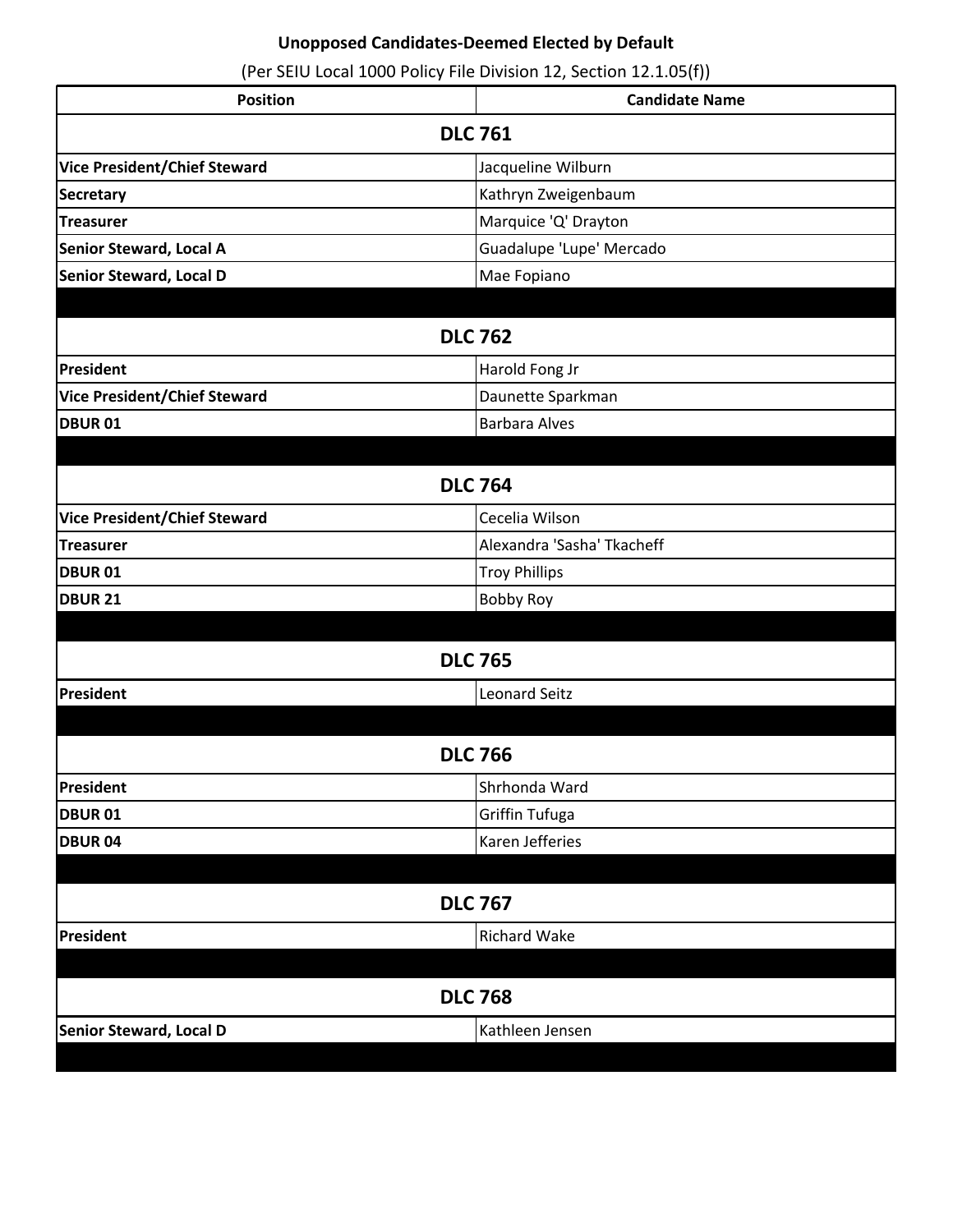| <b>Position</b>                     | <b>Candidate Name</b>      |
|-------------------------------------|----------------------------|
| <b>DLC 761</b>                      |                            |
| <b>Vice President/Chief Steward</b> | Jacqueline Wilburn         |
| <b>Secretary</b>                    | Kathryn Zweigenbaum        |
| <b>Treasurer</b>                    | Marquice 'Q' Drayton       |
| Senior Steward, Local A             | Guadalupe 'Lupe' Mercado   |
| Senior Steward, Local D             | Mae Fopiano                |
|                                     | <b>DLC 762</b>             |
| President                           | Harold Fong Jr             |
| <b>Vice President/Chief Steward</b> | Daunette Sparkman          |
| <b>DBUR 01</b>                      | <b>Barbara Alves</b>       |
|                                     |                            |
|                                     | <b>DLC 764</b>             |
| <b>Vice President/Chief Steward</b> | Cecelia Wilson             |
| <b>Treasurer</b>                    | Alexandra 'Sasha' Tkacheff |
| <b>DBUR 01</b>                      | <b>Troy Phillips</b>       |
| <b>DBUR 21</b>                      | <b>Bobby Roy</b>           |
|                                     | <b>DLC 765</b>             |
| President                           | <b>Leonard Seitz</b>       |
|                                     |                            |
|                                     | <b>DLC 766</b>             |
| President                           | Shrhonda Ward              |
| <b>DBUR 01</b>                      | Griffin Tufuga             |
| <b>DBUR 04</b>                      | Karen Jefferies            |
|                                     |                            |
|                                     | <b>DLC 767</b>             |
| President                           | <b>Richard Wake</b>        |
| <b>DLC 768</b>                      |                            |
| Senior Steward, Local D             | Kathleen Jensen            |
|                                     |                            |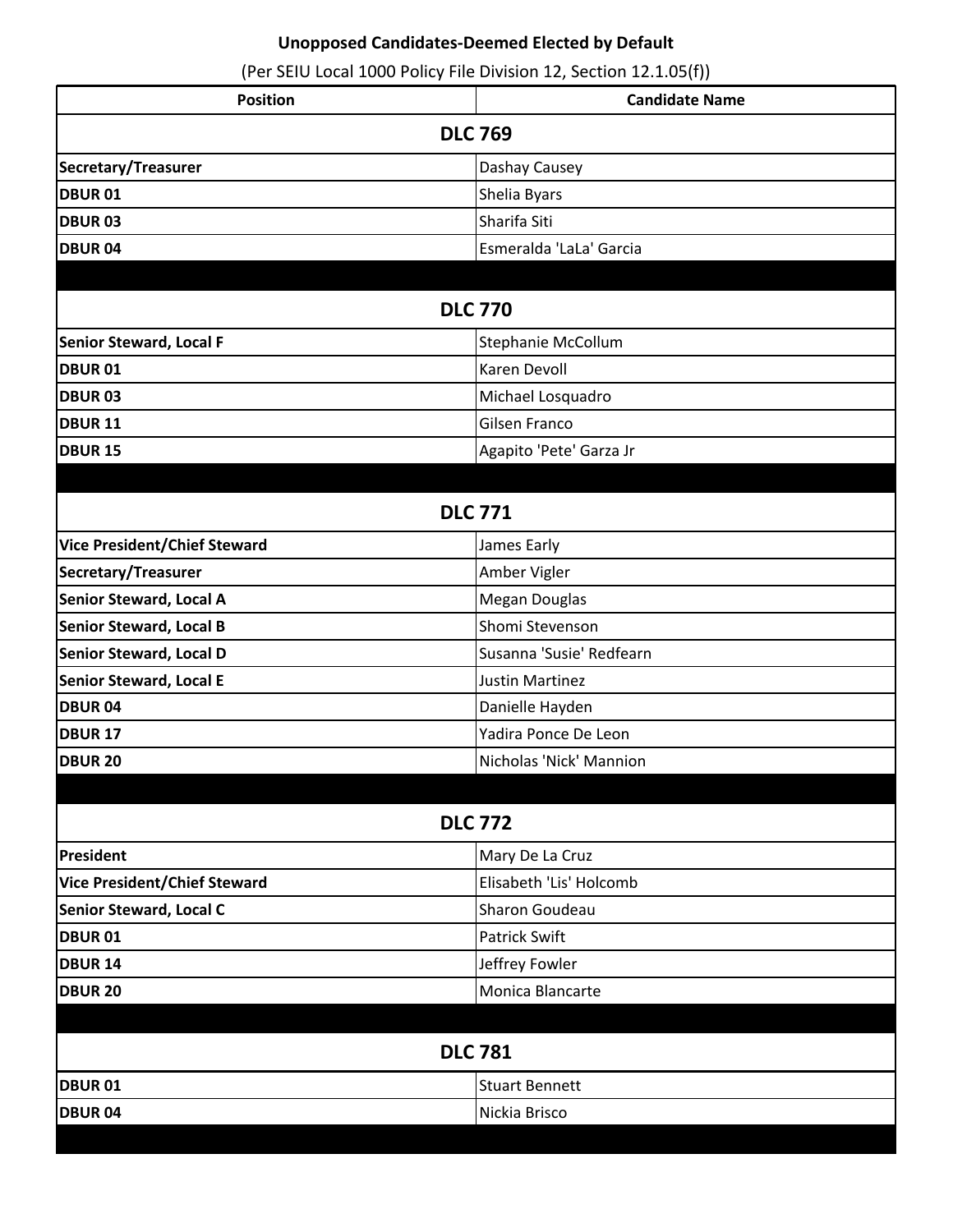| <b>Position</b>                     | <b>Candidate Name</b>    |
|-------------------------------------|--------------------------|
| <b>DLC 769</b>                      |                          |
| Secretary/Treasurer                 | Dashay Causey            |
| <b>DBUR 01</b>                      | Shelia Byars             |
| <b>DBUR 03</b>                      | Sharifa Siti             |
| <b>DBUR04</b>                       | Esmeralda 'LaLa' Garcia  |
|                                     |                          |
| <b>DLC 770</b>                      |                          |
| <b>Senior Steward, Local F</b>      | Stephanie McCollum       |
| <b>DBUR 01</b>                      | Karen Devoll             |
| <b>DBUR 03</b>                      | Michael Losquadro        |
| <b>DBUR 11</b>                      | Gilsen Franco            |
| <b>DBUR 15</b>                      | Agapito 'Pete' Garza Jr  |
|                                     |                          |
|                                     | <b>DLC 771</b>           |
| <b>Vice President/Chief Steward</b> | James Early              |
| Secretary/Treasurer                 | Amber Vigler             |
| <b>Senior Steward, Local A</b>      | Megan Douglas            |
| Senior Steward, Local B             | Shomi Stevenson          |
| <b>Senior Steward, Local D</b>      | Susanna 'Susie' Redfearn |
| <b>Senior Steward, Local E</b>      | <b>Justin Martinez</b>   |
| <b>DBUR 04</b>                      | Danielle Hayden          |
| <b>DBUR 17</b>                      | Yadira Ponce De Leon     |
| <b>DBUR 20</b>                      | Nicholas 'Nick' Mannion  |
|                                     |                          |
|                                     | <b>DLC 772</b>           |
| President                           | Mary De La Cruz          |
| <b>Vice President/Chief Steward</b> | Elisabeth 'Lis' Holcomb  |
| <b>Senior Steward, Local C</b>      | Sharon Goudeau           |
| <b>DBUR 01</b>                      | Patrick Swift            |
| <b>DBUR 14</b>                      | Jeffrey Fowler           |
| <b>DBUR 20</b>                      | Monica Blancarte         |
|                                     |                          |
| <b>DLC 781</b>                      |                          |
| <b>DBUR 01</b>                      | <b>Stuart Bennett</b>    |
| <b>DBUR04</b>                       | Nickia Brisco            |
|                                     |                          |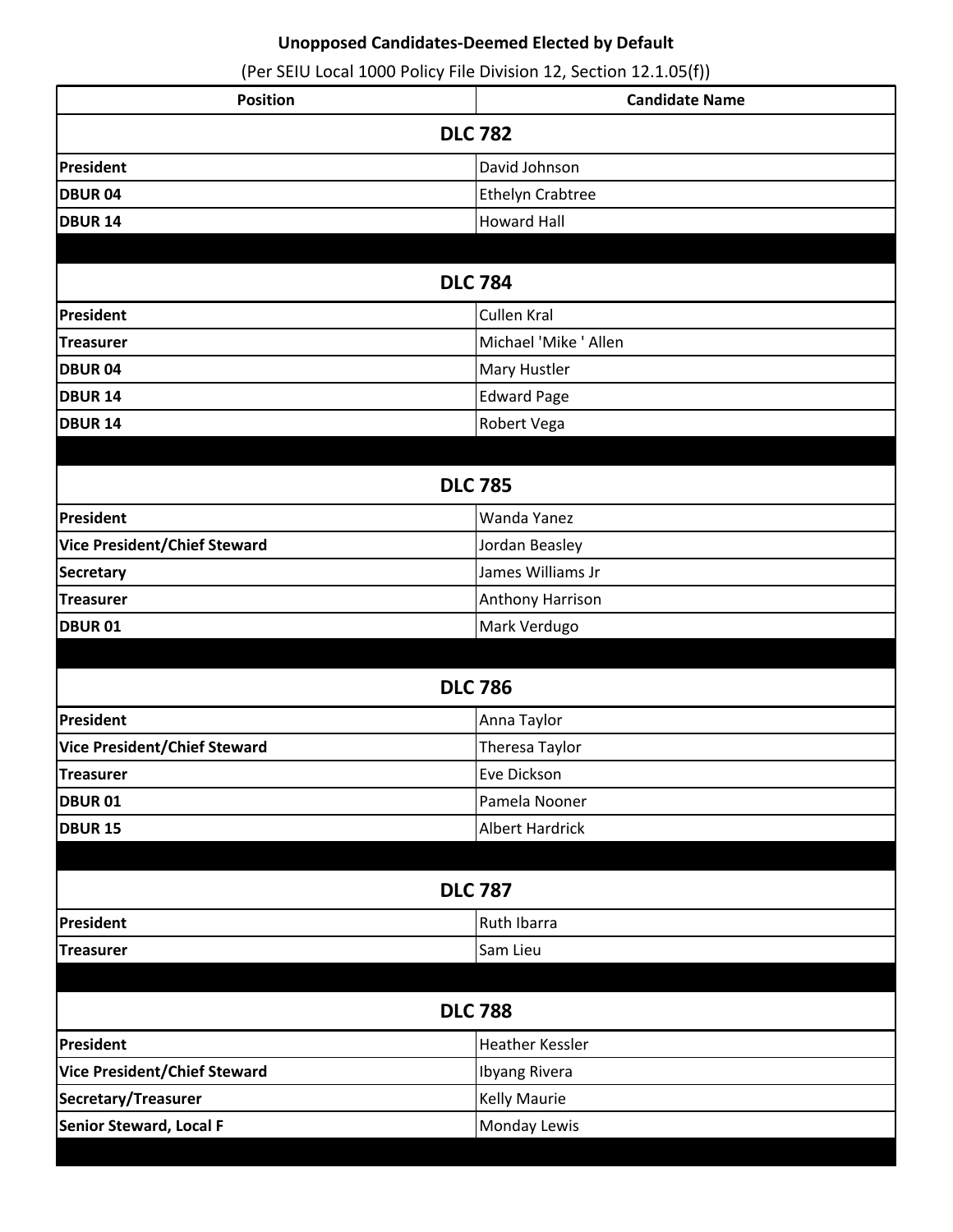| <b>Position</b>                     | <b>Candidate Name</b>   |
|-------------------------------------|-------------------------|
|                                     | <b>DLC 782</b>          |
| President                           | David Johnson           |
| <b>DBUR04</b>                       | <b>Ethelyn Crabtree</b> |
| <b>DBUR 14</b>                      | <b>Howard Hall</b>      |
|                                     |                         |
| <b>DLC 784</b>                      |                         |
| President                           | Cullen Kral             |
| <b>Treasurer</b>                    | Michael 'Mike ' Allen   |
| <b>DBUR04</b>                       | Mary Hustler            |
| <b>DBUR 14</b>                      | Edward Page             |
| DBUR <sub>14</sub>                  | Robert Vega             |
|                                     |                         |
| <b>DLC 785</b>                      |                         |
| President                           | Wanda Yanez             |
| <b>Vice President/Chief Steward</b> | Jordan Beasley          |
| <b>Secretary</b>                    | James Williams Jr       |
| <b>Treasurer</b>                    | Anthony Harrison        |
| <b>DBUR 01</b>                      | Mark Verdugo            |
|                                     |                         |
|                                     | <b>DLC 786</b>          |
| President                           | Anna Taylor             |
| <b>Vice President/Chief Steward</b> | Theresa Taylor          |
| Treasurer                           | Eve Dickson             |
| <b>DBUR01</b>                       | Pamela Nooner           |
| <b>DBUR 15</b>                      | <b>Albert Hardrick</b>  |
|                                     |                         |
| <b>DLC 787</b>                      |                         |
| <b>President</b>                    | Ruth Ibarra             |
| <b>Treasurer</b>                    | Sam Lieu                |
|                                     |                         |
| <b>DLC 788</b>                      |                         |
| President                           | <b>Heather Kessler</b>  |
| <b>Vice President/Chief Steward</b> | <b>Ibyang Rivera</b>    |
| Secretary/Treasurer                 | <b>Kelly Maurie</b>     |
| Senior Steward, Local F             | Monday Lewis            |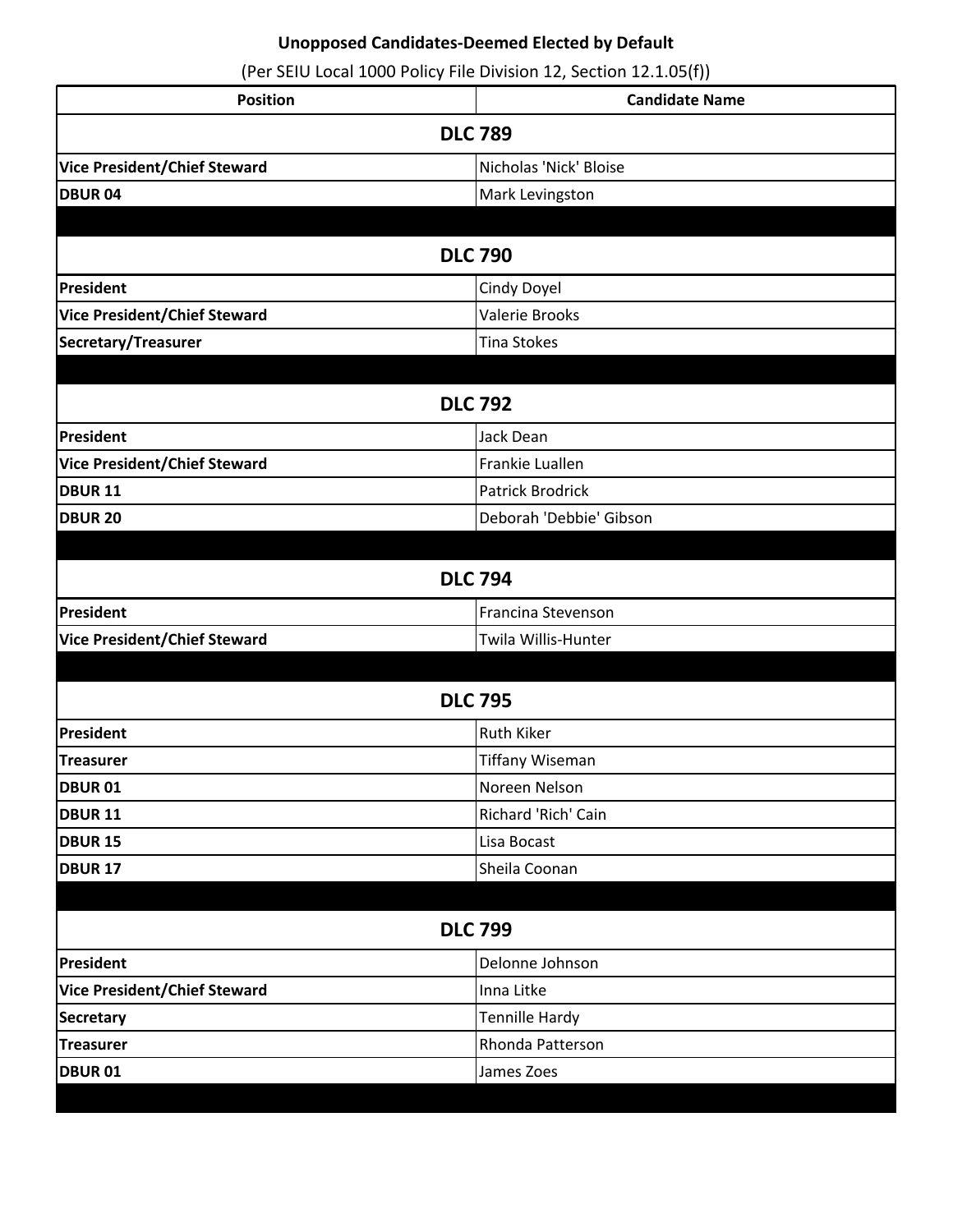| <b>Position</b>                     | <b>Candidate Name</b>   |  |  |
|-------------------------------------|-------------------------|--|--|
| <b>DLC 789</b>                      |                         |  |  |
| <b>Vice President/Chief Steward</b> | Nicholas 'Nick' Bloise  |  |  |
| <b>DBUR04</b>                       | Mark Levingston         |  |  |
|                                     |                         |  |  |
|                                     | <b>DLC 790</b>          |  |  |
| President                           | Cindy Doyel             |  |  |
| <b>Vice President/Chief Steward</b> | Valerie Brooks          |  |  |
| Secretary/Treasurer                 | <b>Tina Stokes</b>      |  |  |
|                                     |                         |  |  |
| <b>DLC 792</b>                      |                         |  |  |
| President                           | Jack Dean               |  |  |
| <b>Vice President/Chief Steward</b> | Frankie Luallen         |  |  |
| <b>DBUR 11</b>                      | Patrick Brodrick        |  |  |
| <b>DBUR 20</b>                      | Deborah 'Debbie' Gibson |  |  |
|                                     |                         |  |  |
|                                     | <b>DLC 794</b>          |  |  |
| President                           | Francina Stevenson      |  |  |
| <b>Vice President/Chief Steward</b> | Twila Willis-Hunter     |  |  |
|                                     |                         |  |  |
|                                     | <b>DLC 795</b>          |  |  |
| President                           | <b>Ruth Kiker</b>       |  |  |
| <b>Treasurer</b>                    | <b>Tiffany Wiseman</b>  |  |  |
| <b>DBUR 01</b>                      | Noreen Nelson           |  |  |
| DBUR <sub>11</sub>                  | Richard 'Rich' Cain     |  |  |
| <b>DBUR 15</b>                      | Lisa Bocast             |  |  |
| <b>DBUR 17</b>                      | Sheila Coonan           |  |  |
|                                     |                         |  |  |
| <b>DLC 799</b>                      |                         |  |  |
| President                           | Delonne Johnson         |  |  |
| <b>Vice President/Chief Steward</b> | Inna Litke              |  |  |
| <b>Secretary</b>                    | Tennille Hardy          |  |  |
| <b>Treasurer</b>                    | Rhonda Patterson        |  |  |
| <b>DBUR 01</b>                      | James Zoes              |  |  |